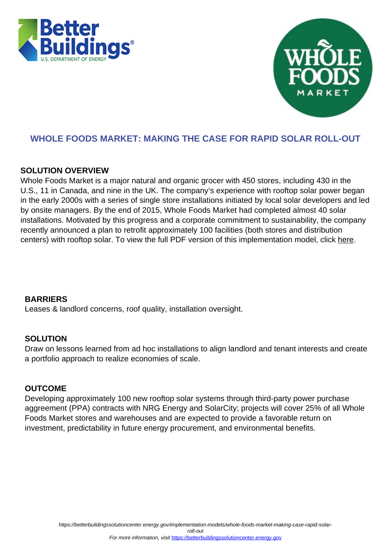



# **WHOLE FOODS MARKET: MAKING THE CASE FOR RAPID SOLAR ROLL-OUT**

## **SOLUTION OVERVIEW**

Whole Foods Market is a major natural and organic grocer with 450 stores, including 430 in the U.S., 11 in Canada, and nine in the UK. The company's experience with rooftop solar power began in the early 2000s with a series of single store installations initiated by local solar developers and led by onsite managers. By the end of 2015, Whole Foods Market had completed almost 40 solar installations. Motivated by this progress and a corporate commitment to sustainability, the company recently announced a plan to retrofit approximately 100 facilities (both stores and distribution centers) with rooftop solar. To view the full PDF version of this implementation model, click [here.](https://betterbuildingssolutioncenter.energy.gov/tools/whole-foods-market-making-case-rapid-solar-roll-outs)

### **BARRIERS**

Leases & landlord concerns, roof quality, installation oversight.

### **SOLUTION**

Draw on lessons learned from ad hoc installations to align landlord and tenant interests and create a portfolio approach to realize economies of scale.

### **OUTCOME**

Developing approximately 100 new rooftop solar systems through third-party power purchase aggreement (PPA) contracts with NRG Energy and SolarCity; projects will cover 25% of all Whole Foods Market stores and warehouses and are expected to provide a favorable return on investment, predictability in future energy procurement, and environmental benefits.

https://betterbuildingssolutioncenter.energy.gov/implementation-models/whole-foods-market-making-case-rapid-solar-

roll-out